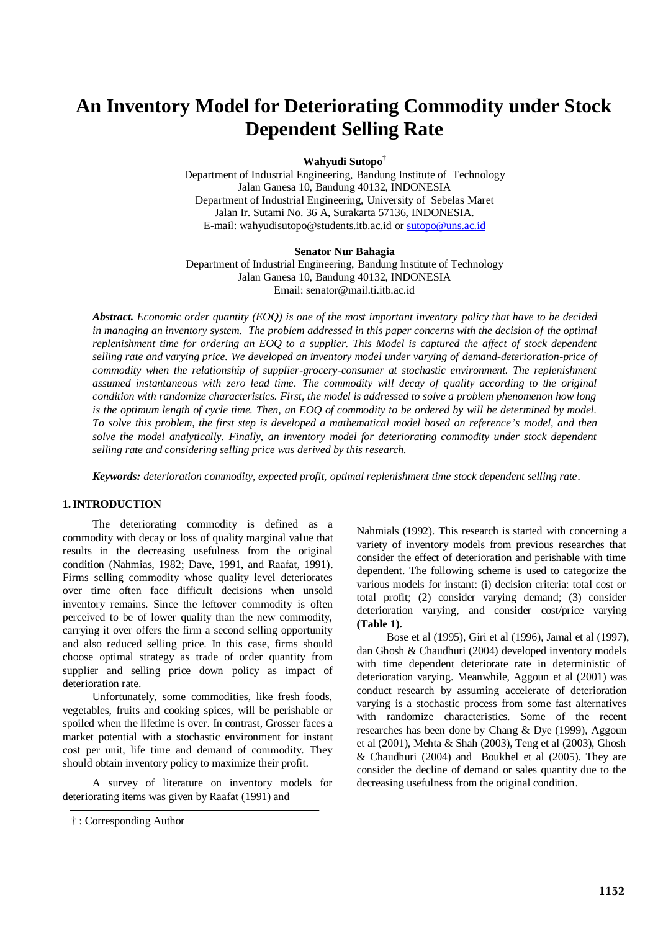# **An Inventory Model for Deteriorating Commodity under Stock Dependent Selling Rate**

**Wahyudi Sutopo**†

Department of Industrial Engineering, Bandung Institute of Technology Jalan Ganesa 10, Bandung 40132, INDONESIA Department of Industrial Engineering, University of Sebelas Maret Jalan Ir. Sutami No. 36 A, Surakarta 57136, INDONESIA. E-mail: wahyudisutopo@students.itb.ac.id or sutopo@uns.ac.id

**Senator Nur Bahagia**

Department of Industrial Engineering, Bandung Institute of Technology Jalan Ganesa 10, Bandung 40132, INDONESIA Email: senator@mail.ti.itb.ac.id

*Abstract. Economic order quantity (EOQ) is one of the most important inventory policy that have to be decided*  in managing an inventory system. The problem addressed in this paper concerns with the decision of the optimal *replenishment time for ordering an EOQ to a supplier. This Model is captured the affect of stock dependent selling rate and varying price. We developed an inventory model under varying of demand-deterioration-price of commodity when the relationship of supplier-grocery-consumer at stochastic environment. The replenishment assumed instantaneous with zero lead time. The commodity will decay of quality according to the original condition with randomize characteristics. First, the model is addressed to solve a problem phenomenon how long is the optimum length of cycle time. Then, an EOQ of commodity to be ordered by will be determined by model. To solve this problem, the first step is developed a mathematical model based on reference's model, and then solve the model analytically. Finally, an inventory model for deteriorating commodity under stock dependent selling rate and considering selling price was derived by this research.* 

*Keywords: deterioration commodity, expected profit, optimal replenishment time stock dependent selling rate.*

## **1.INTRODUCTION**

The deteriorating commodity is defined as a commodity with decay or loss of quality marginal value that results in the decreasing usefulness from the original condition (Nahmias, 1982; Dave, 1991, and Raafat, 1991). Firms selling commodity whose quality level deteriorates over time often face difficult decisions when unsold inventory remains. Since the leftover commodity is often perceived to be of lower quality than the new commodity, carrying it over offers the firm a second selling opportunity and also reduced selling price. In this case, firms should choose optimal strategy as trade of order quantity from supplier and selling price down policy as impact of deterioration rate.

Unfortunately, some commodities, like fresh foods, vegetables, fruits and cooking spices, will be perishable or spoiled when the lifetime is over. In contrast, Grosser faces a market potential with a stochastic environment for instant cost per unit, life time and demand of commodity. They should obtain inventory policy to maximize their profit.

A survey of literature on inventory models for deteriorating items was given by Raafat (1991) and

Nahmials (1992). This research is started with concerning a variety of inventory models from previous researches that consider the effect of deterioration and perishable with time dependent. The following scheme is used to categorize the various models for instant: (i) decision criteria: total cost or total profit; (2) consider varying demand; (3) consider deterioration varying, and consider cost/price varying **(Table 1).**

Bose et al (1995), Giri et al (1996), Jamal et al (1997), dan Ghosh & Chaudhuri (2004) developed inventory models with time dependent deteriorate rate in deterministic of deterioration varying. Meanwhile, Aggoun et al (2001) was conduct research by assuming accelerate of deterioration varying is a stochastic process from some fast alternatives with randomize characteristics. Some of the recent researches has been done by Chang & Dye (1999), Aggoun et al (2001), Mehta & Shah (2003), Teng et al (2003), Ghosh & Chaudhuri (2004) and Boukhel et al (2005). They are consider the decline of demand or sales quantity due to the decreasing usefulness from the original condition.

<sup>† :</sup> Corresponding Author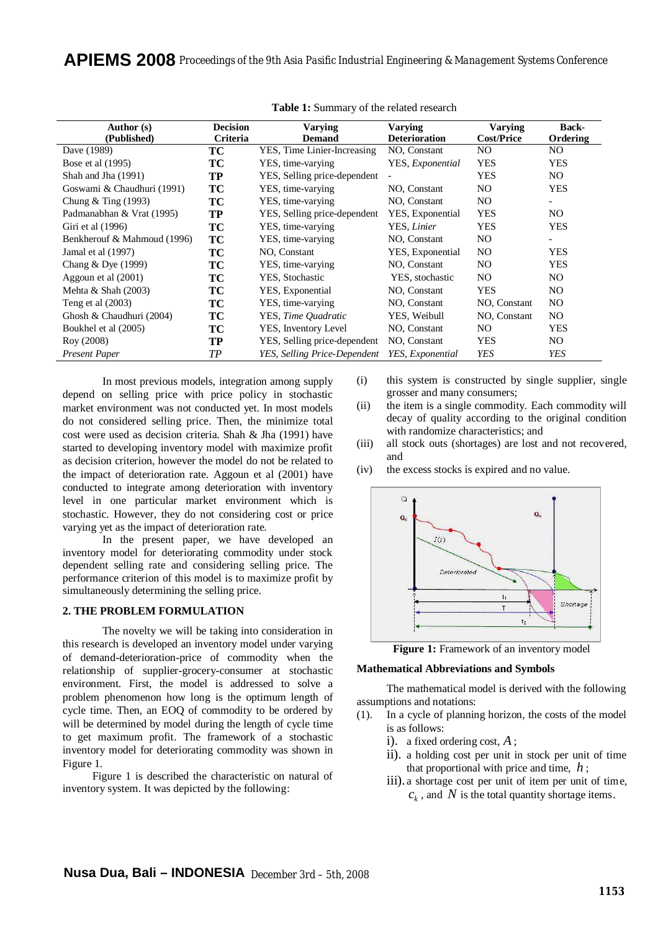| Author (s)<br>(Published)   | <b>Decision</b><br><b>Criteria</b> | Varying<br><b>Demand</b>     | Varying<br><b>Deterioration</b> | <b>Varying</b><br><b>Cost/Price</b> | <b>Back-</b><br>Ordering |
|-----------------------------|------------------------------------|------------------------------|---------------------------------|-------------------------------------|--------------------------|
| Dave (1989)                 | ТC                                 | YES, Time Linier-Increasing  | NO, Constant                    | NO.                                 | NO.                      |
| Bose et al (1995)           | TC                                 | YES, time-varying            | YES, Exponential                | <b>YES</b>                          | <b>YES</b>               |
| Shah and Jha (1991)         | TP                                 | YES, Selling price-dependent |                                 | <b>YES</b>                          | NO.                      |
| Goswami & Chaudhuri (1991)  | <b>TC</b>                          | YES, time-varying            | NO, Constant                    | NO.                                 | <b>YES</b>               |
| Chung $&$ Ting (1993)       | TC                                 | YES, time-varying            | NO, Constant                    | NO.                                 |                          |
| Padmanabhan & Vrat (1995)   | TP                                 | YES, Selling price-dependent | YES, Exponential                | <b>YES</b>                          | NO.                      |
| Giri et al (1996)           | TС                                 | YES, time-varying            | YES, Linier                     | <b>YES</b>                          | <b>YES</b>               |
| Benkherouf & Mahmoud (1996) | <b>TC</b>                          | YES, time-varying            | NO, Constant                    | NO.                                 |                          |
| Jamal et al (1997)          | TС                                 | NO, Constant                 | YES, Exponential                | NO.                                 | <b>YES</b>               |
| Chang $&$ Dye (1999)        | TС                                 | YES, time-varying            | NO, Constant                    | NO.                                 | <b>YES</b>               |
| Aggoun et al (2001)         | TС                                 | YES, Stochastic              | YES, stochastic                 | NO.                                 | NO.                      |
| Mehta $&$ Shah (2003)       | TС                                 | YES, Exponential             | NO, Constant                    | <b>YES</b>                          | NO.                      |
| Teng et al $(2003)$         | TС                                 | YES, time-varying            | NO, Constant                    | NO, Constant                        | NO.                      |
| Ghosh & Chaudhuri (2004)    | TС                                 | YES, Time Ouadratic          | YES, Weibull                    | NO, Constant                        | NO.                      |
| Boukhel et al (2005)        | TС                                 | YES, Inventory Level         | NO, Constant                    | NO.                                 | <b>YES</b>               |
| Roy (2008)                  | TP                                 | YES, Selling price-dependent | NO, Constant                    | <b>YES</b>                          | NO.                      |
| Present Paper               | TP                                 | YES, Selling Price-Dependent | YES, Exponential                | <b>YES</b>                          | YES                      |

| Table 1: Summary of the related research |  |
|------------------------------------------|--|
|------------------------------------------|--|

In most previous models, integration among supply depend on selling price with price policy in stochastic market environment was not conducted yet. In most models do not considered selling price. Then, the minimize total cost were used as decision criteria. Shah & Jha (1991) have started to developing inventory model with maximize profit as decision criterion, however the model do not be related to the impact of deterioration rate. Aggoun et al (2001) have conducted to integrate among deterioration with inventory level in one particular market environment which is stochastic. However, they do not considering cost or price varying yet as the impact of deterioration rate.

In the present paper, we have developed an inventory model for deteriorating commodity under stock dependent selling rate and considering selling price. The performance criterion of this model is to maximize profit by simultaneously determining the selling price.

# **2. THE PROBLEM FORMULATION**

The novelty we will be taking into consideration in this research is developed an inventory model under varying of demand-deterioration-price of commodity when the relationship of supplier-grocery-consumer at stochastic environment. First, the model is addressed to solve a problem phenomenon how long is the optimum length of cycle time. Then, an EOQ of commodity to be ordered by will be determined by model during the length of cycle time to get maximum profit. The framework of a stochastic inventory model for deteriorating commodity was shown in Figure 1.

Figure 1 is described the characteristic on natural of inventory system. It was depicted by the following:

- (i) this system is constructed by single supplier, single grosser and many consumers;
- (ii) the item is a single commodity. Each commodity will decay of quality according to the original condition with randomize characteristics; and
- (iii) all stock outs (shortages) are lost and not recovered, and
- (iv) the excess stocks is expired and no value.



**Figure 1:** Framework of an inventory model

#### **Mathematical Abbreviations and Symbols**

The mathematical model is derived with the following assumptions and notations:

- (1). In a cycle of planning horizon, the costs of the model is as follows:
	- i). a fixed ordering cost, *A* ;
	- ii). a holding cost per unit in stock per unit of time that proportional with price and time, *h* ;
	- iii). a shortage cost per unit of item per unit of time,  $c_k$ , and *N* is the total quantity shortage items.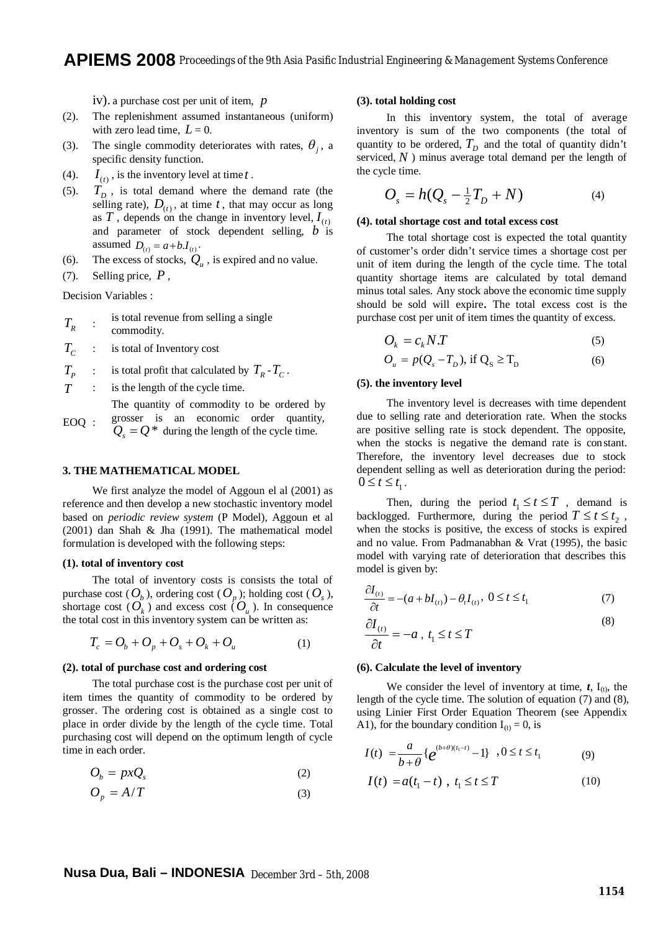iv). a purchase cost per unit of item, *p*

- (2). The replenishment assumed instantaneous (uniform) with zero lead time,  $L = 0$ .
- (3). The single commodity deteriorates with rates,  $\theta_j$ , a specific density function.
- (4). (*t*)  $I_{(t)}$ , is the inventory level at time *t*.
- (5).  $T_D$ , is total demand where the demand rate (the selling rate),  $D_{(t)}$ , at time  $t$ , that may occur as long as  $T$ , depends on the change in inventory level,  $I_{(t)}$ and parameter of stock dependent selling, *b* is assumed  $D_{(t)} = a + b \cdot I_{(t)}$ .
- (6). The excess of stocks,  $Q_u$ , is expired and no value.
- (7). Selling price, *P* ,

Decision Variables :

- $T_{R}$ : is total revenue from selling a single commodity.
- $T_c$ : is total of Inventory cost
- $T<sub>p</sub>$ : is total profit that calculated by  $T_R - T_C$ .
- *T* : is the length of the cycle time.
- EOQ : The quantity of commodity to be ordered by grosser is an economic order quantity,  $Q_s = Q^*$  during the length of the cycle time.

## **3. THE MATHEMATICAL MODEL**

We first analyze the model of Aggoun el al (2001) as reference and then develop a new stochastic inventory model based on *periodic review system* (P Model), Aggoun et al (2001) dan Shah & Jha (1991). The mathematical model formulation is developed with the following steps:

#### **(1). total of inventory cost**

The total of inventory costs is consists the total of purchase cost ( $O_b$ ), ordering cost ( $O_p$ ); holding cost ( $O_s$ ), shortage cost  $(\overrightarrow{O}_k)$  and excess cost  $(O_u)$ . In consequence the total cost in this inventory system can be written as:

$$
T_c = O_b + O_p + O_s + O_k + O_u \tag{1}
$$

#### **(2). total of purchase cost and ordering cost**

The total purchase cost is the purchase cost per unit of item times the quantity of commodity to be ordered by grosser. The ordering cost is obtained as a single cost to place in order divide by the length of the cycle time. Total purchasing cost will depend on the optimum length of cycle time in each order.

$$
O_b = pxQ_s \tag{2}
$$

$$
O_p = A/T \tag{3}
$$

## **(3). total holding cost**

In this inventory system, the total of average inventory is sum of the two components (the total of quantity to be ordered,  $T_D$  and the total of quantity didn't serviced,  $N$ ) minus average total demand per the length of the cycle time.

$$
O_s = h(Q_s - \frac{1}{2}T_D + N)
$$
 (4)

## **(4). total shortage cost and total excess cost**

The total shortage cost is expected the total quantity of customer's order didn't service times a shortage cost per unit of item during the length of the cycle time. The total quantity shortage items are calculated by total demand minus total sales. Any stock above the economic time supply should be sold will expire**.** The total excess cost is the purchase cost per unit of item times the quantity of excess.

$$
O_k = c_k N.T \tag{5}
$$

$$
O_{u} = p(Q_{s} - T_{D}), \text{ if } Q_{S} \ge T_{D} \tag{6}
$$

## **(5). the inventory level**

The inventory level is decreases with time dependent due to selling rate and deterioration rate. When the stocks are positive selling rate is stock dependent. The opposite, when the stocks is negative the demand rate is constant. Therefore, the inventory level decreases due to stock dependent selling as well as deterioration during the period:  $0 \leq t \leq t_1$ .

Then, during the period  $t_1 \le t \le T$ , demand is backlogged. Furthermore, during the period  $T \le t \le t_2$ , when the stocks is positive, the excess of stocks is expired and no value. From Padmanabhan & Vrat (1995), the basic model with varying rate of deterioration that describes this model is given by:

$$
\frac{\partial I_{(t)}}{\partial t} = -(a + bI_{(t)}) - \theta_t I_{(t)}, \ 0 \le t \le t_1 \tag{7}
$$

$$
\frac{\partial I_{(t)}}{\partial t} = -a \, , \, t_1 \le t \le T \tag{8}
$$

#### **(6). Calculate the level of inventory**

We consider the level of inventory at time,  $t$ ,  $I_{(t)}$ , the length of the cycle time. The solution of equation (7) and (8), using Linier First Order Equation Theorem (see Appendix A1), for the boundary condition  $I_{(t)} = 0$ , is

$$
I(t) = \frac{a}{b+\theta} \{e^{(b+\theta)(t_1-t)} - 1\}, 0 \le t \le t_1
$$
 (9)

$$
I(t) = a(t_1 - t) , t_1 \le t \le T
$$
 (10)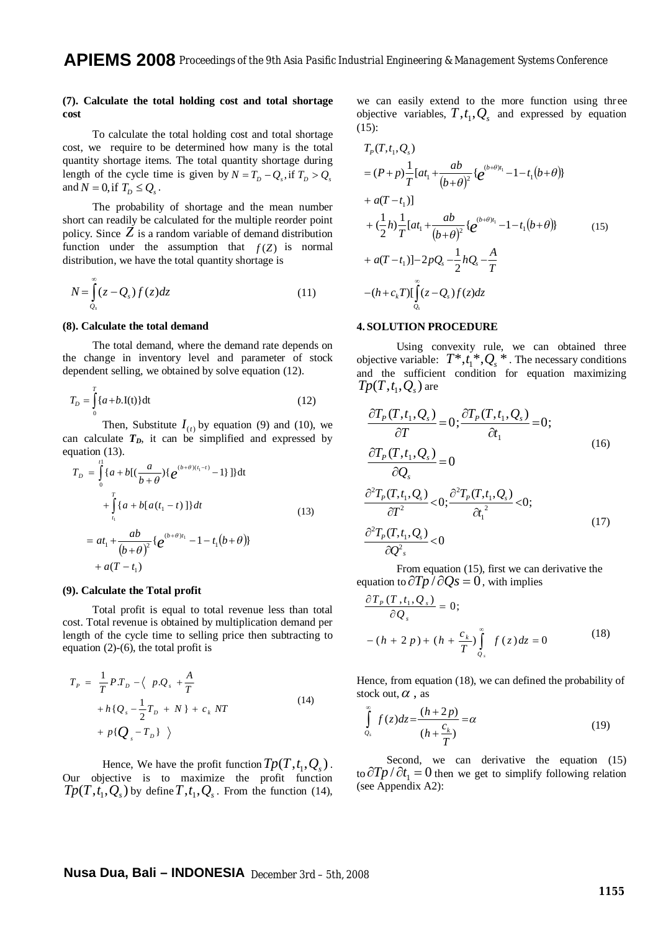## **(7). Calculate the total holding cost and total shortage cost**

To calculate the total holding cost and total shortage cost, we require to be determined how many is the total quantity shortage items. The total quantity shortage during length of the cycle time is given by  $N = T_D - Q_s$ , if  $T_D > Q_s$ and  $N = 0$ , if  $T_D \leq Q_s$ .

The probability of shortage and the mean number short can readily be calculated for the multiple reorder point policy. Since  $Z$  is a random variable of demand distribution function under the assumption that  $f(Z)$  is normal distribution, we have the total quantity shortage is

$$
N = \int_{Q_s}^{\infty} (z - Q_s) f(z) dz
$$
 (11)

### **(8). Calculate the total demand**

The total demand, where the demand rate depends on the change in inventory level and parameter of stock dependent selling, we obtained by solve equation (12).

$$
T_D = \int_0^T \{a + b \cdot I(t)\} dt
$$
 (12)

Then, Substitute  $I_{(t)}$  by equation (9) and (10), we can calculate  $T<sub>D</sub>$ , it can be simplified and expressed by equation (13).

$$
T_{D} = \int_{0}^{t_{1}} \{a+b[(\frac{a}{b+\theta})\{e^{(b+\theta)(t_{1}-t)}-1\}]\}\dt
$$
  
+ 
$$
\int_{t_{1}}^{T} \{a+b[a(t_{1}-t)]\}dt
$$
  
= 
$$
at_{1} + \frac{ab}{(b+\theta)^{2}}\{e^{(b+\theta)t_{1}}-1-t_{1}(b+\theta)\}\t + a(T-t_{1})
$$
 (13)

#### **(9). Calculate the Total profit**

Total profit is equal to total revenue less than total cost. Total revenue is obtained by multiplication demand per length of the cycle time to selling price then subtracting to equation (2)-(6), the total profit is

$$
T_{P} = \frac{1}{T} PT_{D} - \langle p.Q_{s} + \frac{A}{T}
$$
  
+  $h \{Q_{s} - \frac{1}{2}T_{D} + N\} + c_{k} NT$   
+  $p \{Q_{s} - T_{D}\}$  (14)

Hence, We have the profit function  $Tp(T, t_1, Q_s)$ . Our objective is to maximize the profit function  $Tp(T, t_1, Q_s)$  by define  $T, t_1, Q_s$ . From the function (14),

we can easily extend to the more function using three objective variables,  $T, t_1, Q_s$  and expressed by equation (15):

$$
T_{P}(T, t_{1}, Q_{s})
$$
\n
$$
= (P + p) \frac{1}{T} [at_{1} + \frac{ab}{(b+\theta)^{2}} \{e^{(b+\theta)t_{1}} - 1 - t_{1}(b+\theta)\}\n+ a(T - t_{1})]
$$
\n
$$
+ (\frac{1}{2}h) \frac{1}{T} [at_{1} + \frac{ab}{(b+\theta)^{2}} \{e^{(b+\theta)t_{1}} - 1 - t_{1}(b+\theta)\}\n+ a(T - t_{1})] - 2pQ_{s} - \frac{1}{2}hQ_{s} - \frac{A}{T}
$$
\n
$$
-(h + c_{k}T)[\int_{Q_{s}}^{\infty} (z - Q_{s}) f(z) dz]
$$
\n(15)

# **4. SOLUTION PROCEDURE**

Using convexity rule, we can obtained three objective variable:  $T^*, t_1^*, Q_s^*$ . The necessary conditions and the sufficient condition for equation maximizing  $Tp(T, t_1, Q_s)$  are

$$
\frac{\partial T_p(T, t_1, Q_s)}{\partial T} = 0; \frac{\partial T_p(T, t_1, Q_s)}{\partial t_1} = 0; \n\frac{\partial T_p(T, t_1, Q_s)}{\partial Q_s} = 0 \n\frac{\partial^2 T_p(T, t_1, Q_s)}{\partial T^2} < 0; \frac{\partial^2 T_p(T, t_1, Q_s)}{\partial t_1^2} < 0; \n\frac{\partial^2 T_p(T, t_1, Q_s)}{\partial Q_s^2} < 0
$$
\n(17)

From equation (15), first we can derivative the equation to  $\partial Tp / \partial Qs = 0$ , with implies

$$
\frac{\partial T_P(T, t_1, Q_s)}{\partial Q_s} = 0;
$$
  
 
$$
-(h+2p) + (h + \frac{c_k}{T}) \int_{Q_s}^{\infty} f(z) dz = 0
$$
 (18)

Hence, from equation (18), we can defined the probability of stock out,  $\alpha$ , as

$$
\int_{Q_s}^{\infty} f(z)dz = \frac{(h+2p)}{(h+\frac{c_k}{T})} = \alpha
$$
\n(19)

Second, we can derivative the equation (15) to  $\partial T p / \partial t_1 = 0$  then we get to simplify following relation (see Appendix A2):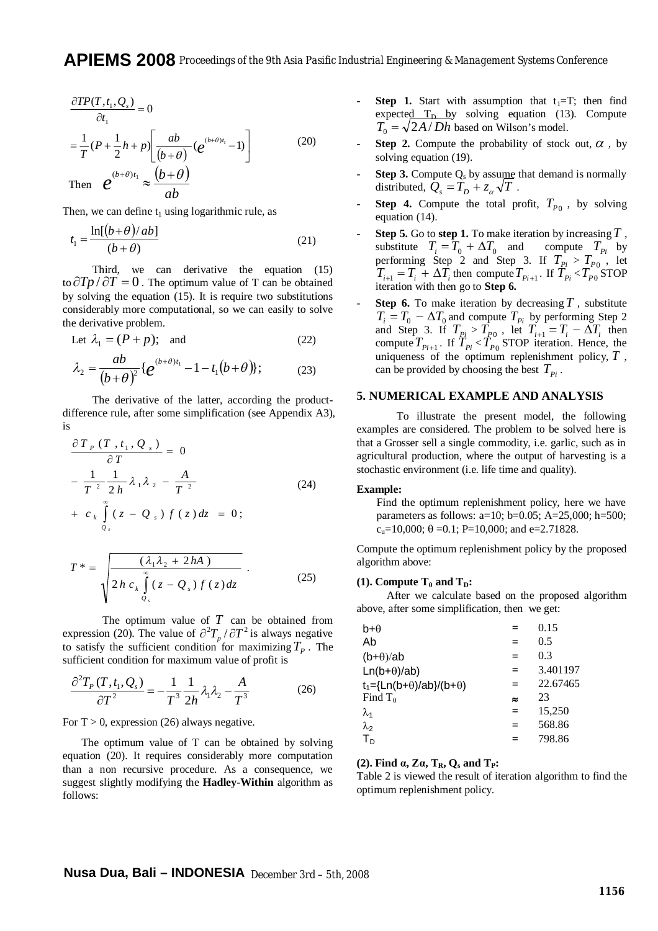$$
\frac{\partial TP(T, t_1, Q_s)}{\partial t_1} = 0
$$
\n
$$
= \frac{1}{T} (P + \frac{1}{2} h + p) \left[ \frac{ab}{(b+\theta)} (e^{(b+\theta)t_1} - 1) \right]
$$
\n
$$
\text{Then } \mathcal{C} \qquad (b+\theta)t_1} \approx \frac{(b+\theta)}{1} \tag{20}
$$

Then *e* 

*ab* Then, we can define  $t_1$  using logarithmic rule, as

$$
t_1 = \frac{\ln[(b+\theta)/ab]}{(b+\theta)}
$$
 (21)

Third, we can derivative the equation (15) to  $\partial Tp / \partial T = 0$ . The optimum value of T can be obtained by solving the equation (15). It is require two substitutions considerably more computational, so we can easily to solve the derivative problem.

Let 
$$
\lambda_1 = (P + p)
$$
; and (22)

$$
\lambda_2 = \frac{ab}{(b+\theta)^2} \{e^{(b+\theta)t_1} - 1 - t_1(b+\theta)\};
$$
 (23)

The derivative of the latter, according the productdifference rule, after some simplification (see Appendix A3), is

$$
\frac{\partial T_P (T, t_1, Q_s)}{\partial T} = 0
$$
  

$$
-\frac{1}{T^2} \frac{1}{2h} \lambda_1 \lambda_2 - \frac{A}{T^2}
$$
  

$$
+ c_k \int_{Q_s}^{\infty} (z - Q_s) f(z) dz = 0;
$$
 (24)

$$
T^* = \sqrt{\frac{(\lambda_1 \lambda_2 + 2hA)}{2h c_k \int\limits_{Q_s}^{\infty} (z - Q_s) f(z) dz}}.
$$
 (25)

The optimum value of *T* can be obtained from expression (20). The value of  $\partial^2 T_p / \partial T^2$  is always negative to satisfy the sufficient condition for maximizing  $T_p$ . The sufficient condition for maximum value of profit is

$$
\frac{\partial^2 T_P(T, t_1, Q_s)}{\partial T^2} = -\frac{1}{T^3} \frac{1}{2h} \lambda_1 \lambda_2 - \frac{A}{T^3}
$$
(26)

For  $T > 0$ , expression (26) always negative.

The optimum value of T can be obtained by solving equation (20). It requires considerably more computation than a non recursive procedure. As a consequence, we suggest slightly modifying the **Hadley-Within** algorithm as follows:

- **Step 1.** Start with assumption that  $t_1 = T$ ; then find expected  $T_D$  by solving equation (13). Compute  $T_0 = \sqrt{2A/Dh}$  based on Wilson's model.
- **Step 2.** Compute the probability of stock out,  $\alpha$ , by solving equation (19).
- **Step 3.** Compute  $Q_s$  by assume that demand is normally distributed,  $\hat{Q}_s = \hat{T}_D + z_\alpha \sqrt{T}$ .
- **Step 4.** Compute the total profit,  $T_{p_0}$ , by solving equation (14).
- **Step 5.** Go to **step 1.** To make iteration by increasing*T* , substitute  $T_i = T_0 + \Delta T_0$  and compute  $T_{pi}$  by performing Step 2 and Step 3. If  $T_{pi} > T_{p_0}$ , let  $T_{i+1} = T_i + \Delta T_i$  then compute  $T_{Pi+1}$ . If  $T_{Pi} < T_{P0}$  STOP iteration with then go to **Step 6.**
- **Step 6.** To make iteration by decreasing  $T$ , substitute  $T_i = T_0 - \Delta T_0$  and compute  $T_{pi}$  by performing Step 2 and Step 3. If  $T_{p_i} > T_{p_0}$ , let  $T_{i+1} = T_i - \Delta T_i$  then compute  $T_{pi+1}$ . If  $T_{pi} < T_{pq}$  STOP iteration. Hence, the uniqueness of the optimum replenishment policy, *T* , can be provided by choosing the best  $T_{p_i}$ .

## **5. NUMERICAL EXAMPLE AND ANALYSIS**

To illustrate the present model, the following examples are considered. The problem to be solved here is that a Grosser sell a single commodity, i.e. garlic, such as in agricultural production, where the output of harvesting is a stochastic environment (i.e. life time and quality).

## **Example:**

Find the optimum replenishment policy, here we have parameters as follows:  $a=10$ ;  $b=0.05$ ;  $A=25,000$ ;  $h=500$ ;  $c<sub>u</sub>=10,000$ ;  $\theta =0.1$ ; P=10,000; and e=2.71828.

Compute the optimum replenishment policy by the proposed algorithm above:

#### **(1). Compute**  $T_0$  **and**  $T_D$ **:**

After we calculate based on the proposed algorithm above, after some simplification, then we get:

| b+θ                        |           | 0.15     |
|----------------------------|-----------|----------|
| Ab                         |           | 0.5      |
| $(b+$                      | $=$       | 0.3      |
| $Ln(b+θ)/ab)$              | $=$       | 3.401197 |
| $t_1 = {Ln(b+θ)/ab}/(b+θ)$ | =         | 22.67465 |
| Find $T_0$                 | $\approx$ | 23       |
| λ                          |           | 15.250   |
| $\lambda_2$                |           | 568.86   |
| $T_{D}$                    |           | 798.86   |
|                            |           |          |

## **(2). Find α, Zα, TR, Q<sup>s</sup> and TP:**

Table 2 is viewed the result of iteration algorithm to find the optimum replenishment policy.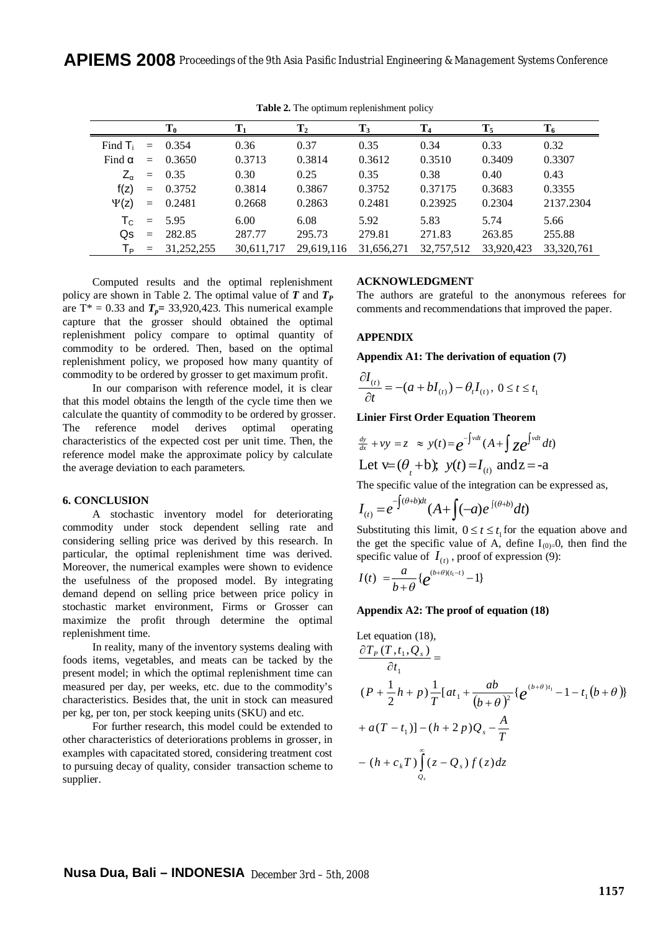**APIEMS 2008** *Proceedings of the 9th Asia Pasific Industrial Engineering & Management Systems Conference*

|                           |     | $\mathbf{T_0}$ | $\mathbf{T}_1$ | $\mathbf{T}_2$ | $T_3$      | T <sub>4</sub> | $T_5$      | $T_6$      |
|---------------------------|-----|----------------|----------------|----------------|------------|----------------|------------|------------|
| Find $T_i$                |     | $= 0.354$      | 0.36           | 0.37           | 0.35       | 0.34           | 0.33       | 0.32       |
| Find $\alpha$             | $=$ | 0.3650         | 0.3713         | 0.3814         | 0.3612     | 0.3510         | 0.3409     | 0.3307     |
| $Z_{\alpha}$              | $=$ | 0.35           | 0.30           | 0.25           | 0.35       | 0.38           | 0.40       | 0.43       |
| f(z)                      | $=$ | 0.3752         | 0.3814         | 0.3867         | 0.3752     | 0.37175        | 0.3683     | 0.3355     |
| $\Psi(z)$                 |     | $= 0.2481$     | 0.2668         | 0.2863         | 0.2481     | 0.23925        | 0.2304     | 2137.2304  |
| $\mathsf{T}_{\mathsf{C}}$ | $=$ | 5.95           | 6.00           | 6.08           | 5.92       | 5.83           | 5.74       | 5.66       |
| Qs                        | $=$ | 282.85         | 287.77         | 295.73         | 279.81     | 271.83         | 263.85     | 255.88     |
| $T_{\mathsf{P}}$          | $=$ | 31.252.255     | 30,611,717     | 29,619,116     | 31,656,271 | 32,757,512     | 33,920,423 | 33,320,761 |

**Table 2.** The optimum replenishment policy

Computed results and the optimal replenishment policy are shown in Table 2. The optimal value of *T* and *T<sup>P</sup>* are  $T^* = 0.33$  and  $T_p = 33,920,423$ . This numerical example capture that the grosser should obtained the optimal replenishment policy compare to optimal quantity of commodity to be ordered. Then, based on the optimal replenishment policy, we proposed how many quantity of commodity to be ordered by grosser to get maximum profit.

In our comparison with reference model, it is clear that this model obtains the length of the cycle time then we calculate the quantity of commodity to be ordered by grosser. The reference model derives optimal operating characteristics of the expected cost per unit time. Then, the reference model make the approximate policy by calculate the average deviation to each parameters.

# **6. CONCLUSION**

A stochastic inventory model for deteriorating commodity under stock dependent selling rate and considering selling price was derived by this research. In particular, the optimal replenishment time was derived. Moreover, the numerical examples were shown to evidence the usefulness of the proposed model. By integrating demand depend on selling price between price policy in stochastic market environment, Firms or Grosser can maximize the profit through determine the optimal replenishment time.

In reality, many of the inventory systems dealing with foods items, vegetables, and meats can be tacked by the present model; in which the optimal replenishment time can measured per day, per weeks, etc. due to the commodity's characteristics. Besides that, the unit in stock can measured per kg, per ton, per stock keeping units (SKU) and etc.

For further research, this model could be extended to other characteristics of deteriorations problems in grosser, in examples with capacitated stored, considering treatment cost to pursuing decay of quality, consider transaction scheme to supplier.

### **ACKNOWLEDGMENT**

The authors are grateful to the anonymous referees for comments and recommendations that improved the paper.

# **APPENDIX**

**Appendix A1: The derivation of equation (7)** 

$$
\frac{\partial I_{(t)}}{\partial t} = -(a + bI_{(t)}) - \theta_t I_{(t)}, \ 0 \le t \le t_1
$$

**Linier First Order Equation Theorem** 

$$
\frac{dy}{dx} + vy = z \approx y(t) = e^{-\int vdt} (A + \int z e^{\int vdt} dt)
$$
  
Let  $v = (\theta_t + b); y(t) = I_{(t)}$  and  $z = -a$ 

The specific value of the integration can be expressed as,

$$
I_{(t)} = e^{-\int (\theta+b)dt} (A + \int (-a) e^{-\int (\theta+b)} dt)
$$

Substituting this limit,  $0 \le t \le t_1$  for the equation above and the get the specific value of A, define  $I_{(0)=}0$ , then find the specific value of  $I_{(t)}$ , proof of expression (9):

$$
I(t) = \frac{a}{b+\theta} \{e^{(b+\theta)(t_1-t)} - 1\}
$$

## **Appendix A2: The proof of equation (18)**

Let equation (18),  
\n
$$
\frac{\partial T_p(T, t_1, Q_s)}{\partial t_1} =
$$
\n
$$
(P + \frac{1}{2}h + p)\frac{1}{T}[at_1 + \frac{ab}{(b+\theta)^2}\{e^{(b+\theta)t_1} - 1 - t_1(b+\theta)\}
$$
\n
$$
+ a(T - t_1)] - (h + 2p)Q_s - \frac{A}{T}
$$
\n
$$
- (h + c_kT)\int_{Q_s}^{\infty} (z - Q_s)f(z)dz
$$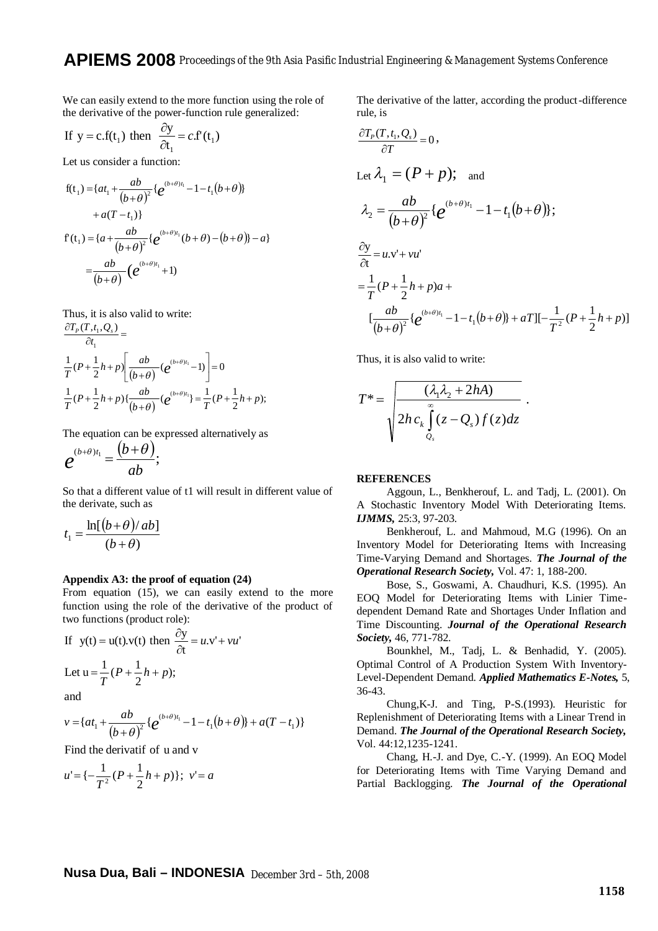We can easily extend to the more function using the role of the derivative of the power-function rule generalized:

If 
$$
y = c.f(t_1)
$$
 then  $\frac{\partial y}{\partial t_1} = c.f(t_1)$ 

Let us consider a function:

$$
f(t_1) = \{at_1 + \frac{ab}{(b+\theta)^2} \{e^{(b+\theta)t_1} - 1 - t_1(b+\theta)\} + a(T-t_1)\}
$$
  
+  $a(T-t_1)$   

$$
f(t_1) = \{a + \frac{ab}{(b+\theta)^2} \{e^{(b+\theta)t_1}(b+\theta) - (b+\theta)\} - a\}
$$
  
=  $\frac{ab}{(b+\theta)} (e^{(b+\theta)t_1} + 1)$ 

Thus, it is also valid to write:

$$
\frac{\partial T_p(T,t_1,Q_s)}{\partial t_1} =
$$
\n
$$
\frac{1}{T}(P+\frac{1}{2}h+p)\left[\frac{ab}{(b+\theta)}(e^{(b+\theta)t_1}-1)\right] = 0
$$
\n
$$
\frac{1}{T}(P+\frac{1}{2}h+p)\left\{\frac{ab}{(b+\theta)}(e^{(b+\theta)t_1}\right\} = \frac{1}{T}(P+\frac{1}{2}h+p);
$$

The equation can be expressed alternatively as

$$
e^{(b+\theta)t_1}=\frac{(b+\theta)}{ab};
$$

So that a different value of t1 will result in different value of the derivate, such as

$$
t_1 = \frac{\ln[(b+\theta)/ab]}{(b+\theta)}
$$

## **Appendix A3: the proof of equation (24)**

From equation (15), we can easily extend to the more function using the role of the derivative of the product of two functions (product role):

If 
$$
y(t) = u(t).v(t)
$$
 then  $\frac{\partial y}{\partial t} = u.v' + vu'$   
Let  $u = \frac{1}{T}(P + \frac{1}{2}h + p)$ ;

and

$$
v = \{at_1 + \frac{ab}{(b+\theta)^2} \{e^{(b+\theta)t_1} - 1 - t_1(b+\theta)\} + a(T-t_1)\}
$$

Find the derivatif of u and v

$$
u' = \{-\frac{1}{T^2}(P + \frac{1}{2}h + p)\}; \ \ v' = a
$$

The derivative of the latter, according the product-difference rule, is

$$
\frac{\partial T_p(T, t_1, Q_s)}{\partial T} = 0,
$$
\nLet  $\lambda_1 = (P + p)$ ; and\n
$$
\lambda_2 = \frac{ab}{(b + \theta)^2} \{e^{(b + \theta)t_1} - 1 - t_1(b + \theta)\};
$$
\n
$$
\frac{\partial y}{\partial t} = u.v' + vu'
$$
\n
$$
= \frac{1}{T}(P + \frac{1}{2}h + p)a + \left[\frac{ab}{(b + \theta)^2} \{e^{(b + \theta)t_1} - 1 - t_1(b + \theta)\} + aT\right] \left[-\frac{1}{T^2}(P + \frac{1}{2}h + p)\right]
$$

Thus, it is also valid to write:

$$
T^* = \sqrt{\frac{(\lambda_1 \lambda_2 + 2hA)}{2hc_k \int\limits_{Q_s}^{\infty} (z - Q_s)f(z)dz}}
$$

## **REFERENCES**

Aggoun, L., Benkherouf, L. and Tadj, L. (2001). On A Stochastic Inventory Model With Deteriorating Items. *IJMMS,* 25:3, 97-203.

.

Benkherouf, L. and Mahmoud, M.G (1996). On an Inventory Model for Deteriorating Items with Increasing Time-Varying Demand and Shortages. *The Journal of the Operational Research Society,* Vol. 47: 1, 188-200.

Bose, S., Goswami, A. Chaudhuri, K.S. (1995). An EOQ Model for Deteriorating Items with Linier Timedependent Demand Rate and Shortages Under Inflation and Time Discounting. *Journal of the Operational Research Society,* 46, 771-782.

Bounkhel, M., Tadj, L. & Benhadid, Y. (2005). Optimal Control of A Production System With Inventory-Level-Dependent Demand. *Applied Mathematics E-Notes,* 5, 36-43.

Chung,K-J. and Ting, P-S.(1993). Heuristic for Replenishment of Deteriorating Items with a Linear Trend in Demand. *The Journal of the Operational Research Society,* Vol. 44:12,1235-1241.

Chang, H.-J. and Dye, C.-Y. (1999). An EOQ Model for Deteriorating Items with Time Varying Demand and Partial Backlogging. *The Journal of the Operational*